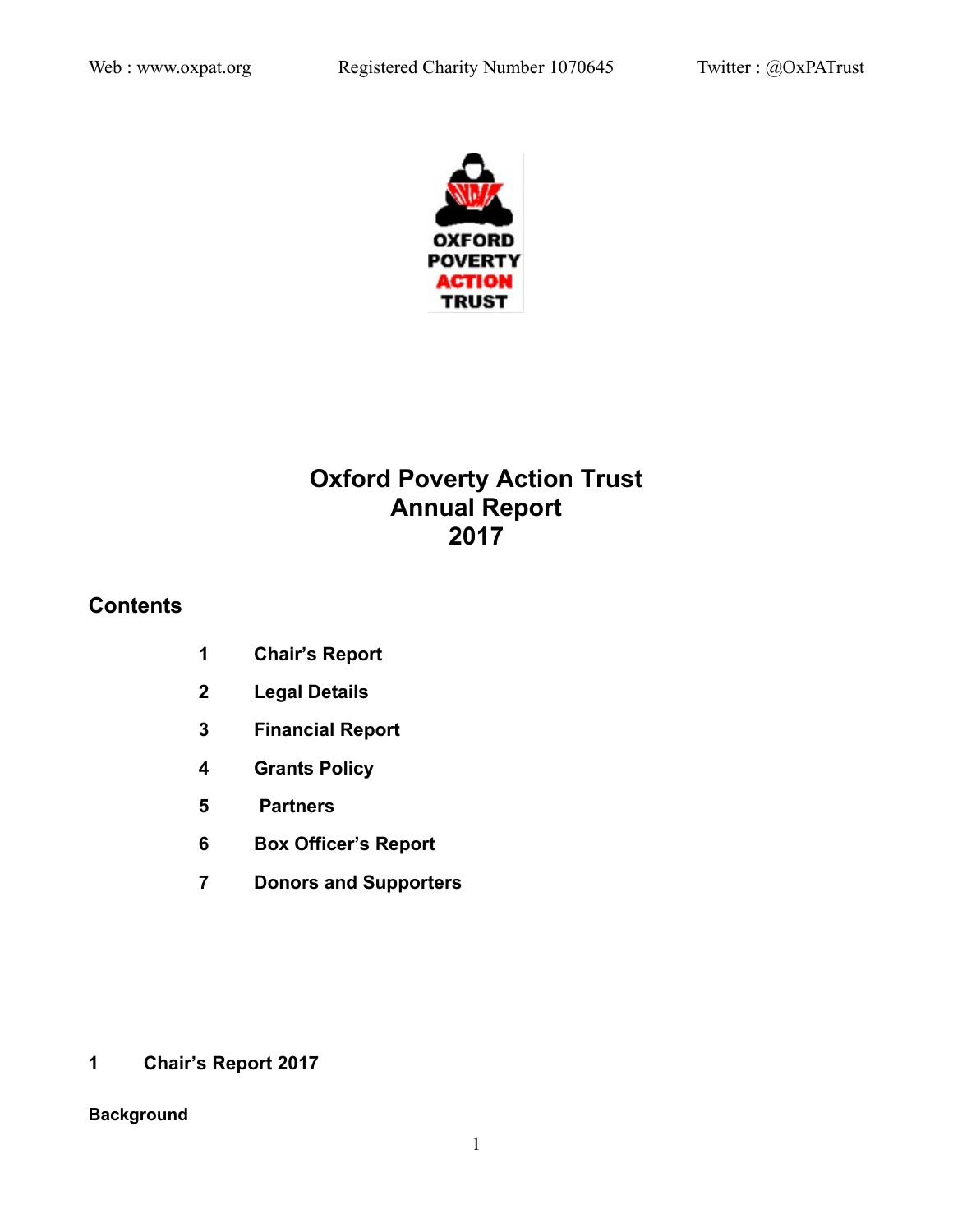

# **Oxford Poverty Action Trust Annual Report 2017**

# **Contents**

- **1 Chair's Report**
- **2 Legal Details**
- **3 Financial Report**
- **4 Grants Policy**
- **5 Partners**
- **6 Box Officer's Report**
- **7 Donors and Supporters**

**1 Chair's Report 2017**

# **Background**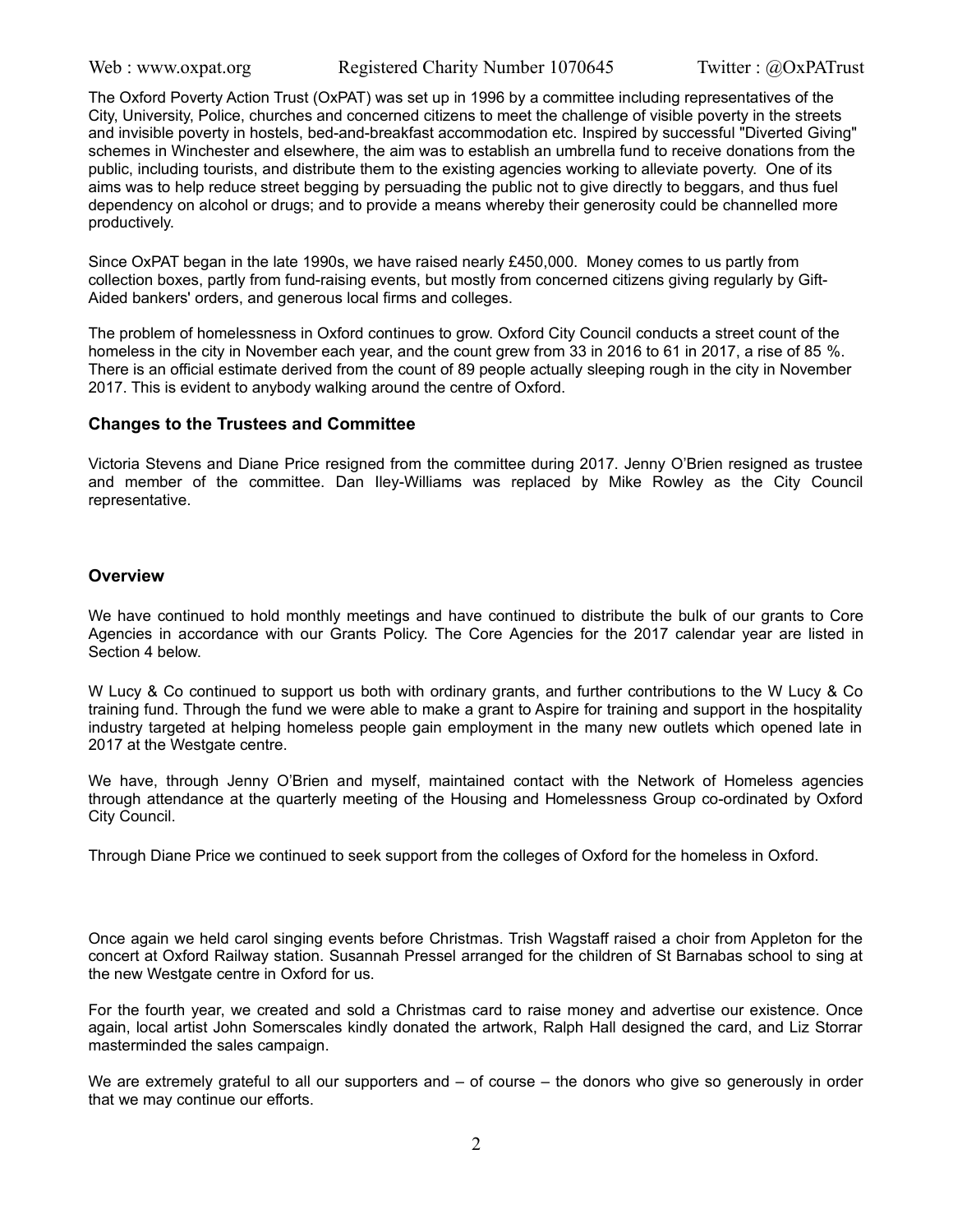The Oxford Poverty Action Trust (OxPAT) was set up in 1996 by a committee including representatives of the City, University, Police, churches and concerned citizens to meet the challenge of visible poverty in the streets and invisible poverty in hostels, bed-and-breakfast accommodation etc. Inspired by successful "Diverted Giving" schemes in Winchester and elsewhere, the aim was to establish an umbrella fund to receive donations from the public, including tourists, and distribute them to the existing agencies working to alleviate poverty. One of its aims was to help reduce street begging by persuading the public not to give directly to beggars, and thus fuel dependency on alcohol or drugs; and to provide a means whereby their generosity could be channelled more productively.

Since OxPAT began in the late 1990s, we have raised nearly £450,000. Money comes to us partly from collection boxes, partly from fund-raising events, but mostly from concerned citizens giving regularly by Gift-Aided bankers' orders, and generous local firms and colleges.

The problem of homelessness in Oxford continues to grow. Oxford City Council conducts a street count of the homeless in the city in November each year, and the count grew from 33 in 2016 to 61 in 2017, a rise of 85 %. There is an official estimate derived from the count of 89 people actually sleeping rough in the city in November 2017. This is evident to anybody walking around the centre of Oxford.

#### **Changes to the Trustees and Committee**

Victoria Stevens and Diane Price resigned from the committee during 2017. Jenny O'Brien resigned as trustee and member of the committee. Dan Iley-Williams was replaced by Mike Rowley as the City Council representative.

#### **Overview**

We have continued to hold monthly meetings and have continued to distribute the bulk of our grants to Core Agencies in accordance with our Grants Policy. The Core Agencies for the 2017 calendar year are listed in Section 4 below.

W Lucy & Co continued to support us both with ordinary grants, and further contributions to the W Lucy & Co training fund. Through the fund we were able to make a grant to Aspire for training and support in the hospitality industry targeted at helping homeless people gain employment in the many new outlets which opened late in 2017 at the Westgate centre.

We have, through Jenny O'Brien and myself, maintained contact with the Network of Homeless agencies through attendance at the quarterly meeting of the Housing and Homelessness Group co-ordinated by Oxford City Council.

Through Diane Price we continued to seek support from the colleges of Oxford for the homeless in Oxford.

Once again we held carol singing events before Christmas. Trish Wagstaff raised a choir from Appleton for the concert at Oxford Railway station. Susannah Pressel arranged for the children of St Barnabas school to sing at the new Westgate centre in Oxford for us.

For the fourth year, we created and sold a Christmas card to raise money and advertise our existence. Once again, local artist John Somerscales kindly donated the artwork, Ralph Hall designed the card, and Liz Storrar masterminded the sales campaign.

We are extremely grateful to all our supporters and – of course – the donors who give so generously in order that we may continue our efforts.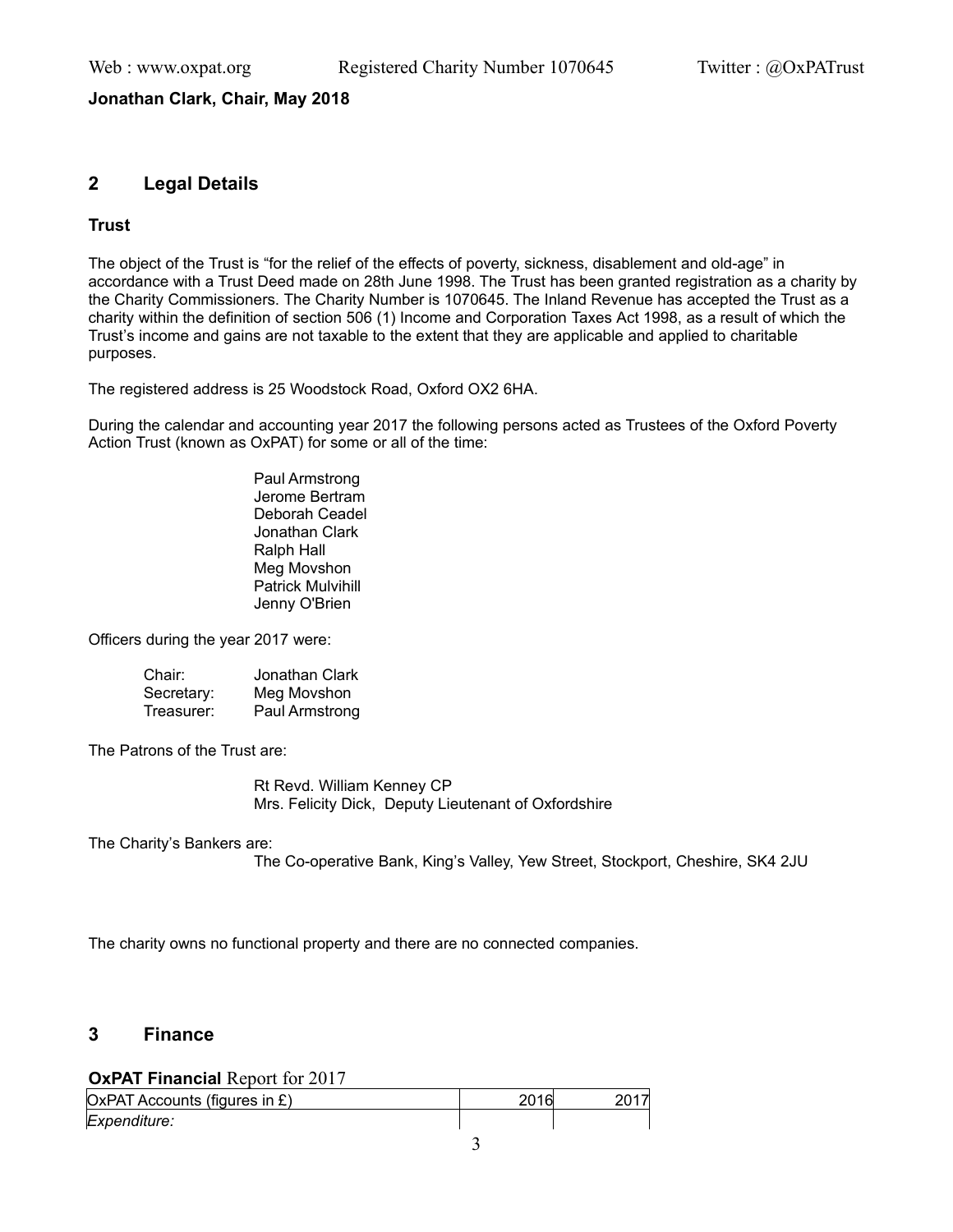## **Jonathan Clark, Chair, May 2018**

## **2 Legal Details**

## **Trust**

The object of the Trust is "for the relief of the effects of poverty, sickness, disablement and old-age" in accordance with a Trust Deed made on 28th June 1998. The Trust has been granted registration as a charity by the Charity Commissioners. The Charity Number is 1070645. The Inland Revenue has accepted the Trust as a charity within the definition of section 506 (1) Income and Corporation Taxes Act 1998, as a result of which the Trust's income and gains are not taxable to the extent that they are applicable and applied to charitable purposes.

The registered address is 25 Woodstock Road, Oxford OX2 6HA.

During the calendar and accounting year 2017 the following persons acted as Trustees of the Oxford Poverty Action Trust (known as OxPAT) for some or all of the time:

> Paul Armstrong Jerome Bertram Deborah Ceadel Jonathan Clark Ralph Hall Meg Movshon Patrick Mulvihill Jenny O'Brien

Officers during the year 2017 were:

| Chair:     | Jonathan Clark |
|------------|----------------|
| Secretary: | Meg Movshon    |
| Treasurer: | Paul Armstrong |

The Patrons of the Trust are:

Rt Revd. William Kenney CP Mrs. Felicity Dick, Deputy Lieutenant of Oxfordshire

The Charity's Bankers are:

The Co-operative Bank, King's Valley, Yew Street, Stockport, Cheshire, SK4 2JU

The charity owns no functional property and there are no connected companies.

## **3 Finance**

**OxPAT Financial** Report for 2017

| OxPAT Accounts (figures in £) | 2016 |  |
|-------------------------------|------|--|
| Expenditure:                  |      |  |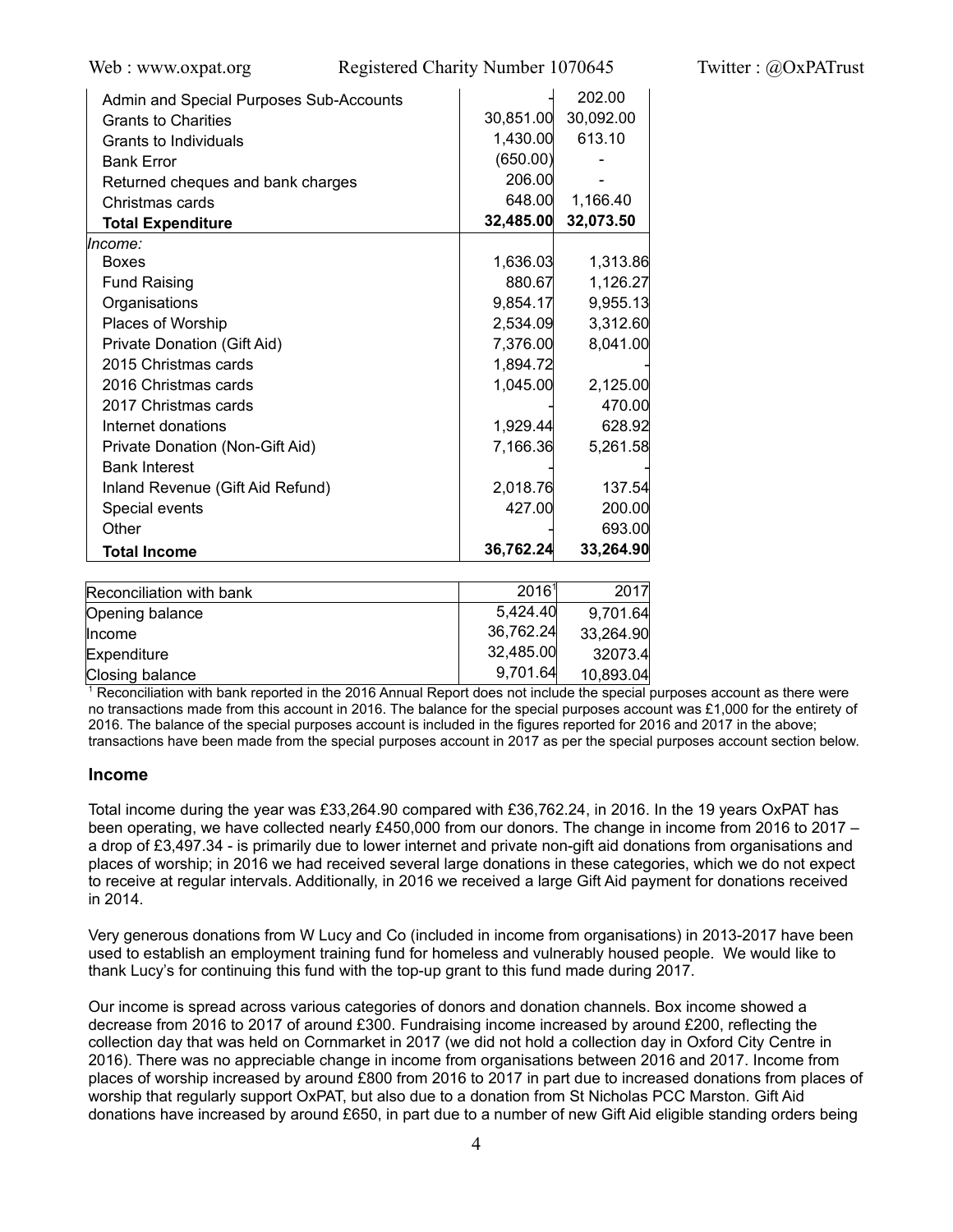Web : www.oxpat.org Registered Charity Number 1070645 Twitter : @OxPATrust

| Admin and Special Purposes Sub-Accounts |           | 202.00    |
|-----------------------------------------|-----------|-----------|
| <b>Grants to Charities</b>              | 30,851.00 | 30,092.00 |
| Grants to Individuals                   | 1,430.00  | 613.10    |
| <b>Bank Error</b>                       | (650.00)  |           |
| Returned cheques and bank charges       | 206.00    |           |
| Christmas cards                         | 648.00    | 1,166.40  |
| <b>Total Expenditure</b>                | 32,485.00 | 32,073.50 |
| lncome:                                 |           |           |
| <b>Boxes</b>                            | 1,636.03  | 1,313.86  |
| <b>Fund Raising</b>                     | 880.67    | 1,126.27  |
| Organisations                           | 9,854.17  | 9,955.13  |
| Places of Worship                       | 2,534.09  | 3,312.60  |
| Private Donation (Gift Aid)             | 7,376.00  | 8,041.00  |
| 2015 Christmas cards                    | 1,894.72  |           |
| 2016 Christmas cards                    | 1,045.00  | 2,125.00  |
| 2017 Christmas cards                    |           | 470.00    |
| Internet donations                      | 1,929.44  | 628.92    |
| Private Donation (Non-Gift Aid)         | 7,166.36  | 5,261.58  |
| <b>Bank Interest</b>                    |           |           |
| Inland Revenue (Gift Aid Refund)        | 2,018.76  | 137.54    |
| Special events                          | 427.00    | 200.00    |
| Other                                   |           | 693.00    |
| <b>Total Income</b>                     | 36,762.24 | 33,264.90 |
|                                         |           |           |
| Reconciliation with bank                | 20161     | 2017      |

| Reconciliation with bank | 20161     | 2017      |
|--------------------------|-----------|-----------|
| Opening balance          | 5,424.40  | 9,701.64  |
| <b>Income</b>            | 36,762.24 | 33,264.90 |
| Expenditure              | 32,485.00 | 32073.4   |
| Closing balance          | 9,701.64  | 10,893.04 |

1 Reconciliation with bank reported in the 2016 Annual Report does not include the special purposes account as there were no transactions made from this account in 2016. The balance for the special purposes account was £1,000 for the entirety of 2016. The balance of the special purposes account is included in the figures reported for 2016 and 2017 in the above; transactions have been made from the special purposes account in 2017 as per the special purposes account section below.

## **Income**

Total income during the year was £33,264.90 compared with £36,762.24, in 2016. In the 19 years OxPAT has been operating, we have collected nearly £450,000 from our donors. The change in income from 2016 to 2017 – a drop of £3,497.34 - is primarily due to lower internet and private non-gift aid donations from organisations and places of worship; in 2016 we had received several large donations in these categories, which we do not expect to receive at regular intervals. Additionally, in 2016 we received a large Gift Aid payment for donations received in 2014.

Very generous donations from W Lucy and Co (included in income from organisations) in 2013-2017 have been used to establish an employment training fund for homeless and vulnerably housed people. We would like to thank Lucy's for continuing this fund with the top-up grant to this fund made during 2017.

Our income is spread across various categories of donors and donation channels. Box income showed a decrease from 2016 to 2017 of around £300. Fundraising income increased by around £200, reflecting the collection day that was held on Cornmarket in 2017 (we did not hold a collection day in Oxford City Centre in 2016). There was no appreciable change in income from organisations between 2016 and 2017. Income from places of worship increased by around £800 from 2016 to 2017 in part due to increased donations from places of worship that regularly support OxPAT, but also due to a donation from St Nicholas PCC Marston. Gift Aid donations have increased by around £650, in part due to a number of new Gift Aid eligible standing orders being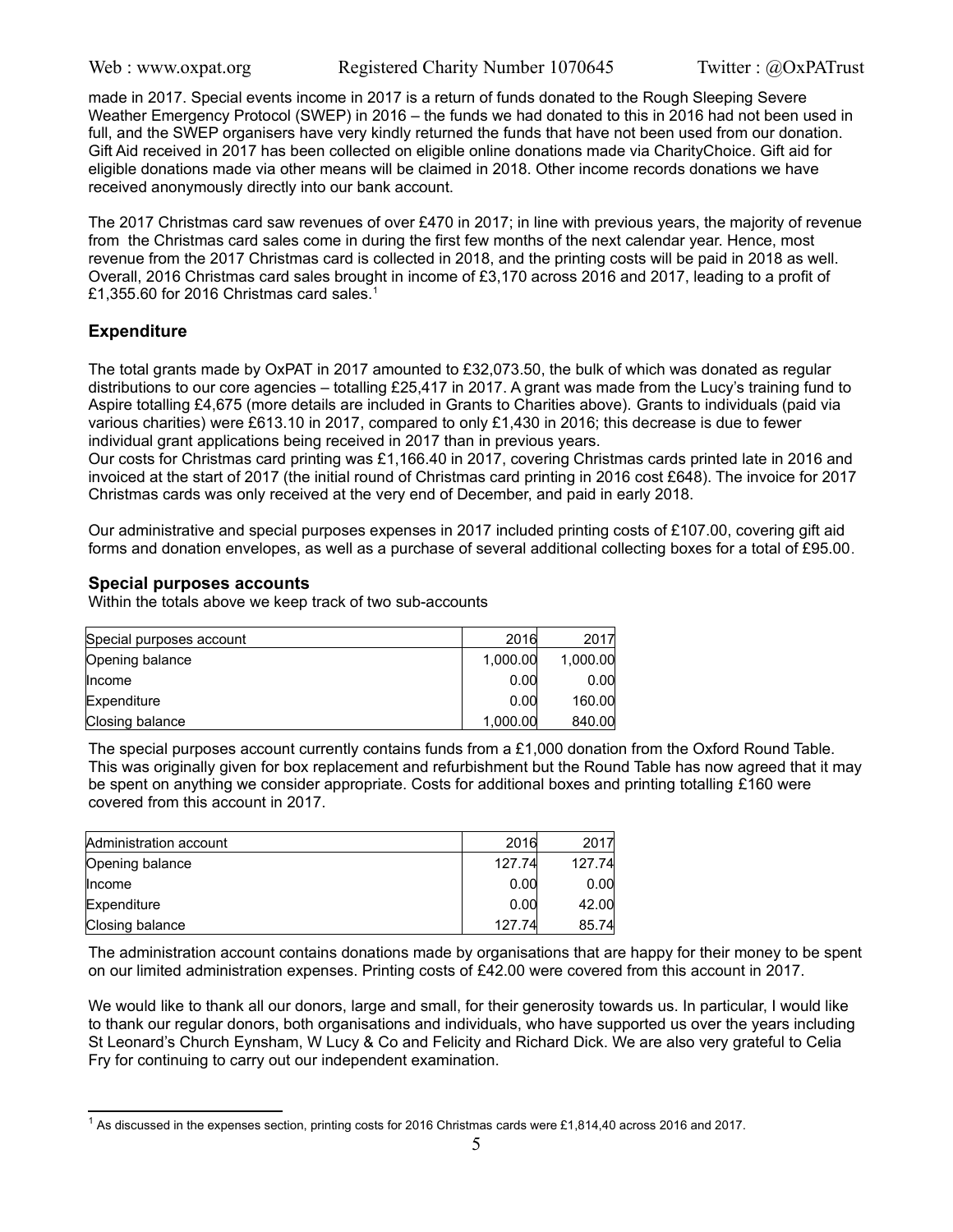made in 2017. Special events income in 2017 is a return of funds donated to the Rough Sleeping Severe Weather Emergency Protocol (SWEP) in 2016 – the funds we had donated to this in 2016 had not been used in full, and the SWEP organisers have very kindly returned the funds that have not been used from our donation. Gift Aid received in 2017 has been collected on eligible online donations made via CharityChoice. Gift aid for eligible donations made via other means will be claimed in 2018. Other income records donations we have received anonymously directly into our bank account.

The 2017 Christmas card saw revenues of over £470 in 2017; in line with previous years, the majority of revenue from the Christmas card sales come in during the first few months of the next calendar year. Hence, most revenue from the 2017 Christmas card is collected in 2018, and the printing costs will be paid in 2018 as well. Overall, 2016 Christmas card sales brought in income of £3,170 across 2016 and 2017, leading to a profit of £[1](#page-4-0),355.60 for 2016 Christmas card sales.<sup>1</sup>

## **Expenditure**

The total grants made by OxPAT in 2017 amounted to £32,073.50, the bulk of which was donated as regular distributions to our core agencies – totalling £25,417 in 2017. A grant was made from the Lucy's training fund to Aspire totalling £4,675 (more details are included in Grants to Charities above). Grants to individuals (paid via various charities) were £613.10 in 2017, compared to only £1,430 in 2016; this decrease is due to fewer individual grant applications being received in 2017 than in previous years.

Our costs for Christmas card printing was £1,166.40 in 2017, covering Christmas cards printed late in 2016 and invoiced at the start of 2017 (the initial round of Christmas card printing in 2016 cost £648). The invoice for 2017 Christmas cards was only received at the very end of December, and paid in early 2018.

Our administrative and special purposes expenses in 2017 included printing costs of £107.00, covering gift aid forms and donation envelopes, as well as a purchase of several additional collecting boxes for a total of £95.00.

## **Special purposes accounts**

Within the totals above we keep track of two sub-accounts

| Special purposes account | 2016     | 2017     |
|--------------------------|----------|----------|
| Opening balance          | 1,000.00 | 1.000.00 |
| llncome                  | 0.00     | 0.00     |
| Expenditure              | 0.00     | 160.00   |
| Closing balance          | 1,000.00 | 840.00   |

The special purposes account currently contains funds from a  $£1,000$  donation from the Oxford Round Table. This was originally given for box replacement and refurbishment but the Round Table has now agreed that it may be spent on anything we consider appropriate. Costs for additional boxes and printing totalling £160 were covered from this account in 2017.

| Administration account | 2016   | 2017   |
|------------------------|--------|--------|
| Opening balance        | 127.74 | 127.74 |
| <b>Income</b>          | 0.00   | 0.00   |
| Expenditure            | 0.00   | 42.00  |
| Closing balance        | 127.74 | 85.74  |

The administration account contains donations made by organisations that are happy for their money to be spent on our limited administration expenses. Printing costs of £42.00 were covered from this account in 2017.

We would like to thank all our donors, large and small, for their generosity towards us. In particular, I would like to thank our regular donors, both organisations and individuals, who have supported us over the years including St Leonard's Church Eynsham, W Lucy & Co and Felicity and Richard Dick. We are also very grateful to Celia Fry for continuing to carry out our independent examination.

<span id="page-4-0"></span> $^1$  As discussed in the expenses section, printing costs for 2016 Christmas cards were £1,814,40 across 2016 and 2017.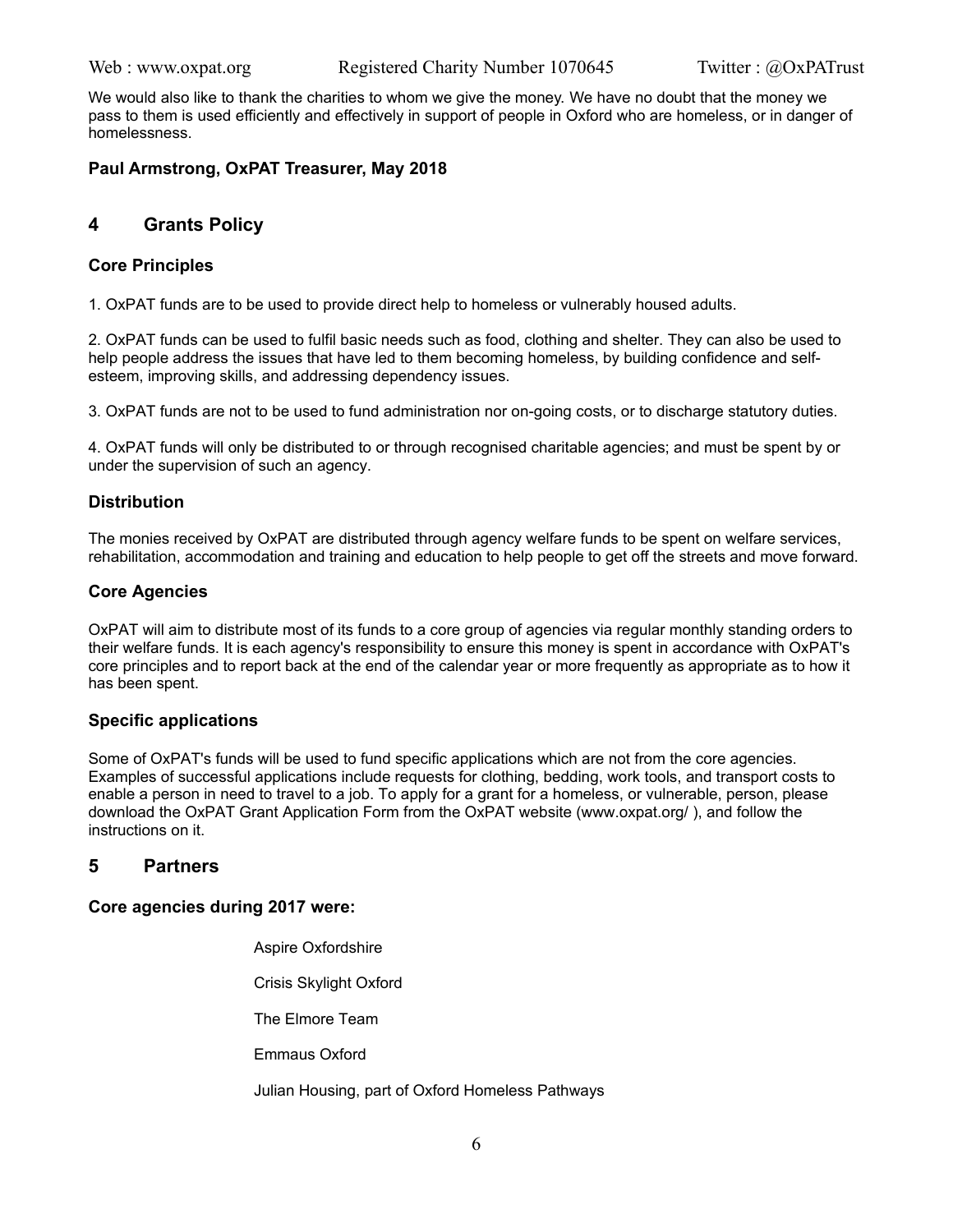We would also like to thank the charities to whom we give the money. We have no doubt that the money we pass to them is used efficiently and effectively in support of people in Oxford who are homeless, or in danger of homelessness.

## **Paul Armstrong, OxPAT Treasurer, May 2018**

## **4 Grants Policy**

## **Core Principles**

1. OxPAT funds are to be used to provide direct help to homeless or vulnerably housed adults.

2. OxPAT funds can be used to fulfil basic needs such as food, clothing and shelter. They can also be used to help people address the issues that have led to them becoming homeless, by building confidence and selfesteem, improving skills, and addressing dependency issues.

3. OxPAT funds are not to be used to fund administration nor on-going costs, or to discharge statutory duties.

4. OxPAT funds will only be distributed to or through recognised charitable agencies; and must be spent by or under the supervision of such an agency.

## **Distribution**

The monies received by OxPAT are distributed through agency welfare funds to be spent on welfare services, rehabilitation, accommodation and training and education to help people to get off the streets and move forward.

## **Core Agencies**

OxPAT will aim to distribute most of its funds to a core group of agencies via regular monthly standing orders to their welfare funds. It is each agency's responsibility to ensure this money is spent in accordance with OxPAT's core principles and to report back at the end of the calendar year or more frequently as appropriate as to how it has been spent.

## **Specific applications**

Some of OxPAT's funds will be used to fund specific applications which are not from the core agencies. Examples of successful applications include requests for clothing, bedding, work tools, and transport costs to enable a person in need to travel to a job. To apply for a grant for a homeless, or vulnerable, person, please download the OxPAT Grant Application Form from the OxPAT website (www.oxpat.org/ ), and follow the instructions on it.

## **5 Partners**

## **Core agencies during 2017 were:**

 Aspire Oxfordshire Crisis Skylight Oxford The Elmore Team Emmaus Oxford Julian Housing, part of Oxford Homeless Pathways